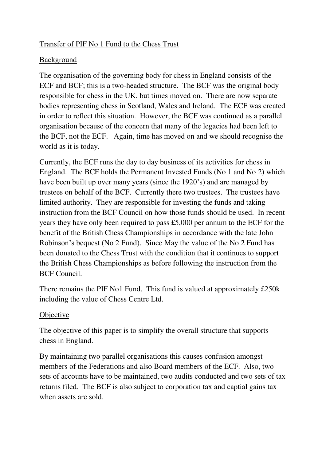## Transfer of PIF No 1 Fund to the Chess Trust

## Background

The organisation of the governing body for chess in England consists of the ECF and BCF; this is a two-headed structure. The BCF was the original body responsible for chess in the UK, but times moved on. There are now separate bodies representing chess in Scotland, Wales and Ireland. The ECF was created in order to reflect this situation. However, the BCF was continued as a parallel organisation because of the concern that many of the legacies had been left to the BCF, not the ECF. Again, time has moved on and we should recognise the world as it is today.

Currently, the ECF runs the day to day business of its activities for chess in England. The BCF holds the Permanent Invested Funds (No 1 and No 2) which have been built up over many years (since the 1920's) and are managed by trustees on behalf of the BCF. Currently there two trustees. The trustees have limited authority. They are responsible for investing the funds and taking instruction from the BCF Council on how those funds should be used. In recent years they have only been required to pass £5,000 per annum to the ECF for the benefit of the British Chess Championships in accordance with the late John Robinson's bequest (No 2 Fund). Since May the value of the No 2 Fund has been donated to the Chess Trust with the condition that it continues to support the British Chess Championships as before following the instruction from the BCF Council.

There remains the PIF No1 Fund. This fund is valued at approximately £250k including the value of Chess Centre Ltd.

## **Objective**

The objective of this paper is to simplify the overall structure that supports chess in England.

By maintaining two parallel organisations this causes confusion amongst members of the Federations and also Board members of the ECF. Also, two sets of accounts have to be maintained, two audits conducted and two sets of tax returns filed. The BCF is also subject to corporation tax and captial gains tax when assets are sold.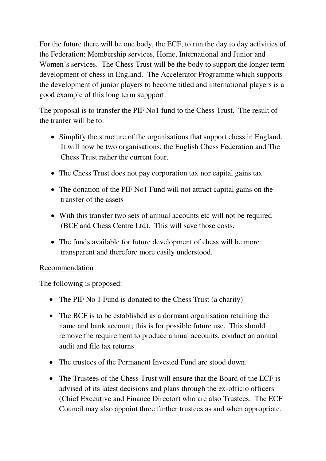For the future there will be one body, the ECF, to run the day to day activities of the Federation: Membership services, Home, International and Junior and Women's services. The Chess Trust will be the body to support the longer term development of chess in England. The Accelerator Programme which supports the development of junior players to become titled and international players is a good example of this long term suppport.

The proposal is to transfer the PIF No1 fund to the Chess Trust. The result of the tranfer will be to:

- Simplify the structure of the organisations that support chess in England. It will now be two organisations: the English Chess Federation and The Chess Trust rather the current four.
- The Chess Trust does not pay corporation tax nor capital gains tax
- The donation of the PIF No1 Fund will not attract capital gains on the transfer of the assets
- With this transfer two sets of annual accounts etc will not be required (BCF and Chess Centre Ltd). This will save those costs.
- The funds available for future development of chess will be more transparent and therefore more easily understood.

## Recommendation

The following is proposed:

- The PIF No 1 Fund is donated to the Chess Trust (a charity)
- The BCF is to be established as a dormant organisation retaining the name and bank account; this is for possible future use. This should remove the requirement to produce annual accounts, conduct an annual audit and file tax returns.
- The trustees of the Permanent Invested Fund are stood down.
- The Trustees of the Chess Trust will ensure that the Board of the ECF is advised of its latest decisions and plans through the ex-officio officers (Chief Executive and Finance Director) who are also Trustees. The ECF Council may also appoint three further trustees as and when appropriate.